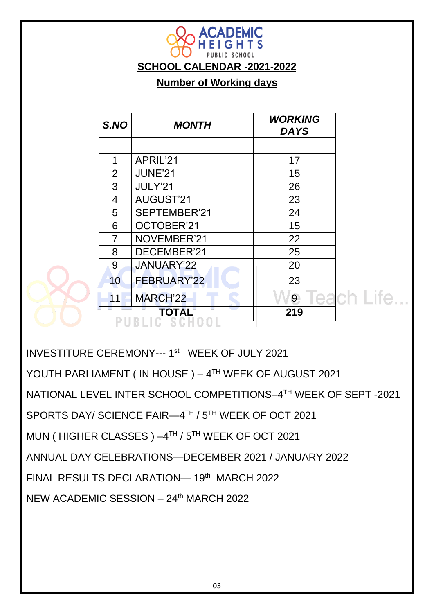| S.NO | <b>MONTH</b>       | <b>WORKING</b><br>DA YS |                    |
|------|--------------------|-------------------------|--------------------|
|      |                    |                         |                    |
| 1    | APRIL'21           | 17                      |                    |
| 2    | <b>JUNE'21</b>     | 15                      |                    |
| 3    | JULY'21            | 26                      |                    |
| 4    | <b>AUGUST'21</b>   | 23                      |                    |
| 5    | SEPTEMBER'21       | 24                      |                    |
| 6    | OCTOBER'21         | 15                      |                    |
| 7    | NOVEMBER'21        | 22                      |                    |
| 8    | DECEMBER'21        | 25                      |                    |
| 9    | JANUARY'22         | 20                      |                    |
| 10   | <b>FEBRUARY'22</b> | 23                      |                    |
| 11   | <b>MARCH'22</b>    | 9                       | <b>Teach Life.</b> |
|      | <b>TOTAL</b>       | 219                     |                    |

**SCHOOL CALENDAR -2021-2022**

**ACADEMIC** HEIGHTS

**Number of Working days** 

INVESTITURE CEREMONY--- 1<sup>st</sup> WEEK OF JULY 2021

YOUTH PARLIAMENT (IN HOUSE) – 4<sup>TH</sup> WEEK OF AUGUST 2021

NATIONAL LEVEL INTER SCHOOL COMPETITIONS–4 TH WEEK OF SEPT -2021

SPORTS DAY/ SCIENCE FAIR—4 TH / 5TH WEEK OF OCT 2021

MUN ( HIGHER CLASSES ) –4 TH / 5TH WEEK OF OCT 2021

ANNUAL DAY CELEBRATIONS—DECEMBER 2021 / JANUARY 2022

FINAL RESULTS DECLARATION-19th MARCH 2022

NEW ACADEMIC SESSION – 24th MARCH 2022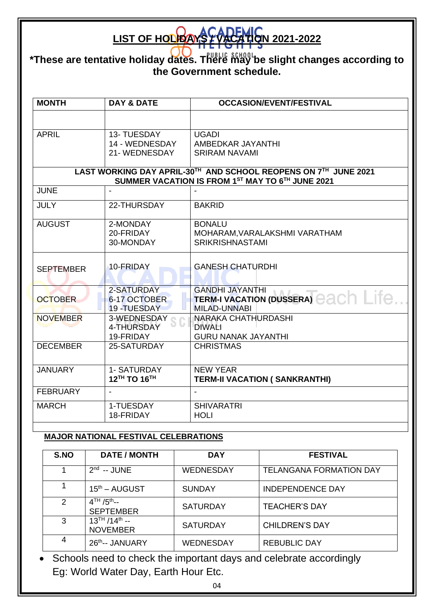## **LIST OF HOLPOAYS & VACATION 2021-2022**

**\*These are tentative holiday dates. There may be slight changes according to the Government schedule.**

| <b>MONTH</b>                                                                                                        | <b>DAY &amp; DATE</b>                         | <b>OCCASION/EVENT/FESTIVAL</b>                                                        |  |  |
|---------------------------------------------------------------------------------------------------------------------|-----------------------------------------------|---------------------------------------------------------------------------------------|--|--|
|                                                                                                                     |                                               |                                                                                       |  |  |
| <b>APRIL</b>                                                                                                        | 13- TUESDAY<br>14 - WEDNESDAY<br>21-WEDNESDAY | <b>UGADI</b><br>AMBEDKAR JAYANTHI<br><b>SRIRAM NAVAMI</b>                             |  |  |
| LAST WORKING DAY APRIL-30TH AND SCHOOL REOPENS ON 7TH JUNE 2021<br>SUMMER VACATION IS FROM 1ST MAY TO 6TH JUNE 2021 |                                               |                                                                                       |  |  |
| <b>JUNE</b>                                                                                                         |                                               |                                                                                       |  |  |
| <b>JULY</b>                                                                                                         | 22-THURSDAY                                   | <b>BAKRID</b>                                                                         |  |  |
| <b>AUGUST</b>                                                                                                       | 2-MONDAY<br>20-FRIDAY<br>30-MONDAY            | <b>BONALU</b><br>MOHARAM, VARALAKSHMI VARATHAM<br><b>SRIKRISHNASTAMI</b>              |  |  |
| <b>SEPTEMBER</b>                                                                                                    | 10-FRIDAY                                     | <b>GANESH CHATURDHI</b>                                                               |  |  |
| <b>OCTOBER</b>                                                                                                      | 2-SATURDAY<br>6-17 OCTOBER<br>19-TUESDAY      | <b>GANDHI JAYANTHI</b><br>TERM-I VACATION (DUSSERA) CACH LITC.<br><b>MILAD-UNNABI</b> |  |  |
| <b>NOVEMBER</b>                                                                                                     | 3-WEDNESDAY<br>4-THURSDAY<br>19-FRIDAY        | NARAKA CHATHURDASHI<br><b>DIWALI</b><br><b>GURU NANAK JAYANTHI</b>                    |  |  |
| <b>DECEMBER</b>                                                                                                     | 25-SATURDAY                                   | <b>CHRISTMAS</b>                                                                      |  |  |
| <b>JANUARY</b>                                                                                                      | 1- SATURDAY<br>12TH TO 16TH                   | <b>NEW YEAR</b><br><b>TERM-II VACATION ( SANKRANTHI)</b>                              |  |  |
| <b>FEBRUARY</b>                                                                                                     |                                               | $\overline{a}$                                                                        |  |  |
| <b>MARCH</b>                                                                                                        | 1-TUESDAY<br>18-FRIDAY                        | <b>SHIVARATRI</b><br><b>HOLI</b>                                                      |  |  |

## **MAJOR NATIONAL FESTIVAL CELEBRATIONS**

| S.NO          | <b>DATE / MONTH</b>                     | <b>DAY</b>      | <b>FESTIVAL</b>                |
|---------------|-----------------------------------------|-----------------|--------------------------------|
|               | $2nd - JUNE$                            | WEDNESDAY       | <b>TELANGANA FORMATION DAY</b> |
|               | $15th - AUGUST$                         | <b>SUNDAY</b>   | <b>INDEPENDENCE DAY</b>        |
| $\mathcal{P}$ | $4TH / 5th -$<br><b>SEPTEMBER</b>       | <b>SATURDAY</b> | <b>TEACHER'S DAY</b>           |
| 3             | $13^{TH}/14^{th}$ --<br><b>NOVEMBER</b> | <b>SATURDAY</b> | <b>CHILDREN'S DAY</b>          |
| 4             | 26th-- JANUARY                          | WEDNESDAY       | <b>REBUBLIC DAY</b>            |

• Schools need to check the important days and celebrate accordingly Eg: World Water Day, Earth Hour Etc.